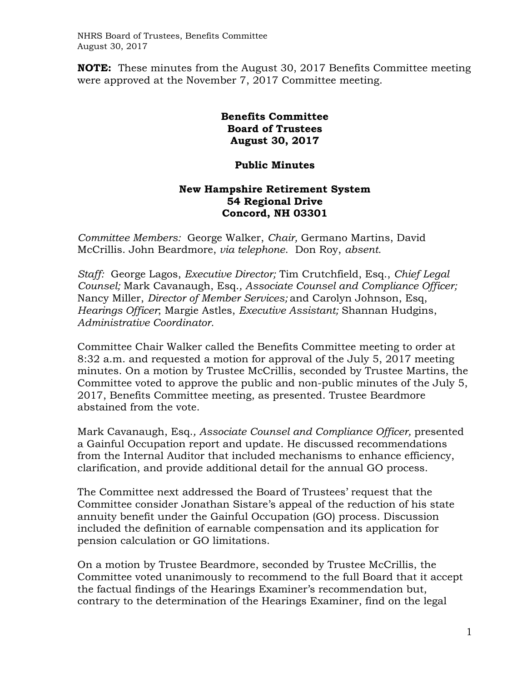NHRS Board of Trustees, Benefits Committee August 30, 2017

**NOTE:** These minutes from the August 30, 2017 Benefits Committee meeting were approved at the November 7, 2017 Committee meeting.

## **Benefits Committee Board of Trustees August 30, 2017**

## **Public Minutes**

## **New Hampshire Retirement System 54 Regional Drive Concord, NH 03301**

*Committee Members:* George Walker, *Chair,* Germano Martins, David McCrillis. John Beardmore, *via telephone*. Don Roy, *absent.*

*Staff:* George Lagos, *Executive Director;* Tim Crutchfield, Esq., *Chief Legal Counsel;* Mark Cavanaugh, Esq.*, Associate Counsel and Compliance Officer;*  Nancy Miller, *Director of Member Services;* and Carolyn Johnson, Esq, *Hearings Officer*; Margie Astles, *Executive Assistant;* Shannan Hudgins, *Administrative Coordinator.* 

Committee Chair Walker called the Benefits Committee meeting to order at 8:32 a.m. and requested a motion for approval of the July 5, 2017 meeting minutes. On a motion by Trustee McCrillis, seconded by Trustee Martins, the Committee voted to approve the public and non-public minutes of the July 5, 2017, Benefits Committee meeting, as presented. Trustee Beardmore abstained from the vote.

Mark Cavanaugh, Esq.*, Associate Counsel and Compliance Officer,* presented a Gainful Occupation report and update. He discussed recommendations from the Internal Auditor that included mechanisms to enhance efficiency, clarification, and provide additional detail for the annual GO process.

The Committee next addressed the Board of Trustees' request that the Committee consider Jonathan Sistare's appeal of the reduction of his state annuity benefit under the Gainful Occupation (GO) process. Discussion included the definition of earnable compensation and its application for pension calculation or GO limitations.

On a motion by Trustee Beardmore, seconded by Trustee McCrillis, the Committee voted unanimously to recommend to the full Board that it accept the factual findings of the Hearings Examiner's recommendation but, contrary to the determination of the Hearings Examiner, find on the legal